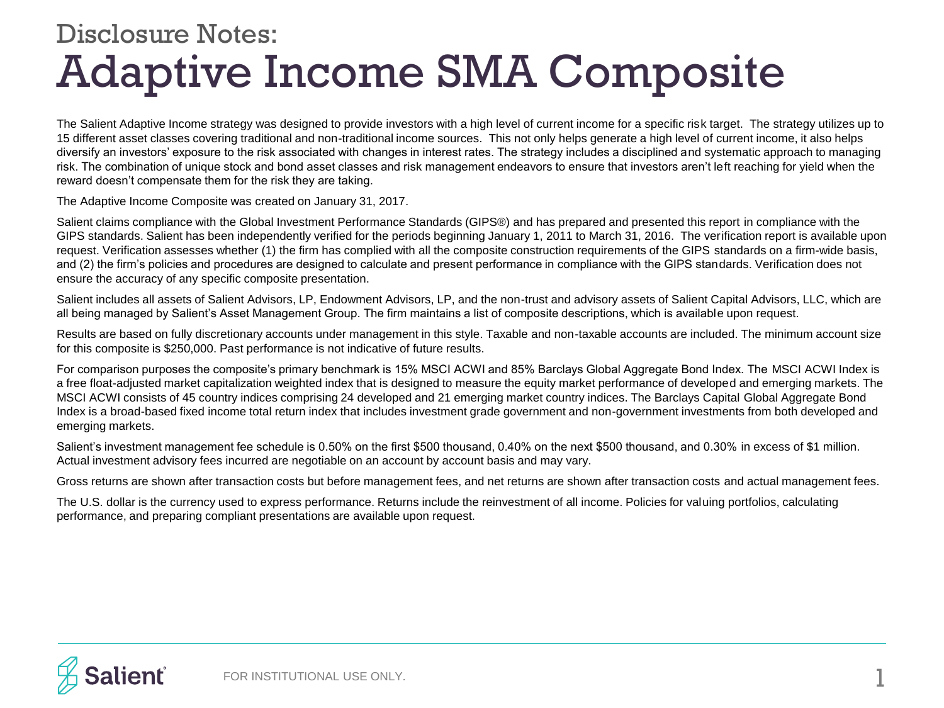## Adaptive Income SMA Composite Disclosure Notes:

The Salient Adaptive Income strategy was designed to provide investors with a high level of current income for a specific risk target. The strategy utilizes up to 15 different asset classes covering traditional and non-traditional income sources. This not only helps generate a high level of current income, it also helps diversify an investors' exposure to the risk associated with changes in interest rates. The strategy includes a disciplined and systematic approach to managing risk. The combination of unique stock and bond asset classes and risk management endeavors to ensure that investors aren't left reaching for yield when the reward doesn't compensate them for the risk they are taking.

The Adaptive Income Composite was created on January 31, 2017.

Salient claims compliance with the Global Investment Performance Standards (GIPS®) and has prepared and presented this report in compliance with the GIPS standards. Salient has been independently verified for the periods beginning January 1, 2011 to March 31, 2016. The verification report is available upon request. Verification assesses whether (1) the firm has complied with all the composite construction requirements of the GIPS standards on a firm-wide basis, and (2) the firm's policies and procedures are designed to calculate and present performance in compliance with the GIPS standards. Verification does not ensure the accuracy of any specific composite presentation.

Salient includes all assets of Salient Advisors, LP, Endowment Advisors, LP, and the non-trust and advisory assets of Salient Capital Advisors, LLC, which are all being managed by Salient's Asset Management Group. The firm maintains a list of composite descriptions, which is available upon request.

Results are based on fully discretionary accounts under management in this style. Taxable and non-taxable accounts are included. The minimum account size for this composite is \$250,000. Past performance is not indicative of future results.

For comparison purposes the composite's primary benchmark is 15% MSCI ACWI and 85% Barclays Global Aggregate Bond Index. The MSCI ACWI Index is a free float-adjusted market capitalization weighted index that is designed to measure the equity market performance of developed and emerging markets. The MSCI ACWI consists of 45 country indices comprising 24 developed and 21 emerging market country indices. The Barclays Capital Global Aggregate Bond Index is a broad-based fixed income total return index that includes investment grade government and non-government investments from both developed and emerging markets.

Salient's investment management fee schedule is 0.50% on the first \$500 thousand, 0.40% on the next \$500 thousand, and 0.30% in excess of \$1 million. Actual investment advisory fees incurred are negotiable on an account by account basis and may vary.

Gross returns are shown after transaction costs but before management fees, and net returns are shown after transaction costs and actual management fees.

The U.S. dollar is the currency used to express performance. Returns include the reinvestment of all income. Policies for valuing portfolios, calculating performance, and preparing compliant presentations are available upon request.